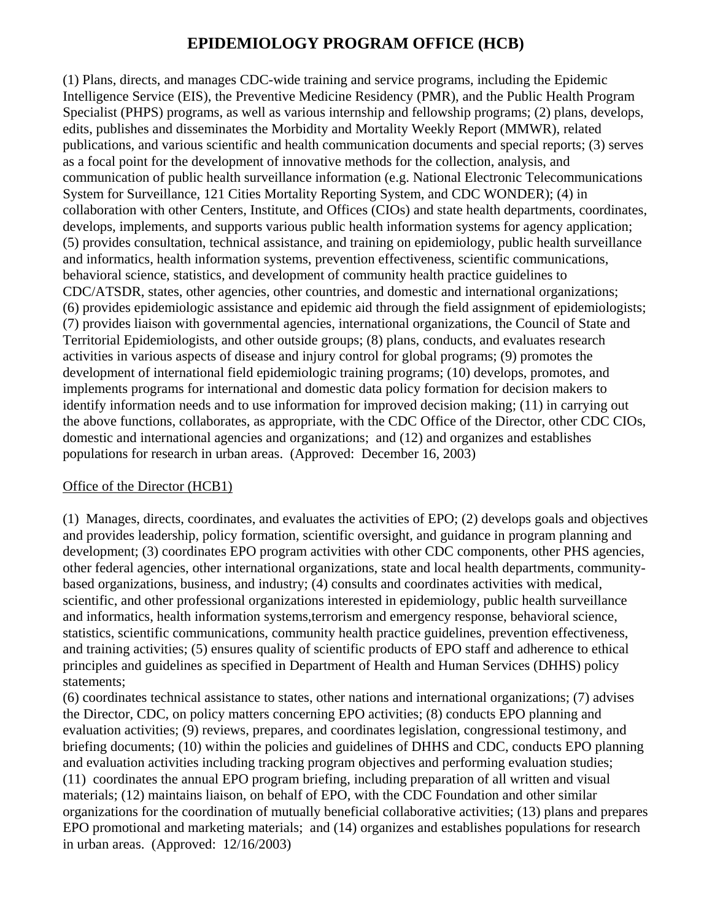# **EPIDEMIOLOGY PROGRAM OFFICE (HCB)**

(1) Plans, directs, and manages CDC-wide training and service programs, including the Epidemic Intelligence Service (EIS), the Preventive Medicine Residency (PMR), and the Public Health Program Specialist (PHPS) programs, as well as various internship and fellowship programs; (2) plans, develops, edits, publishes and disseminates the Morbidity and Mortality Weekly Report (MMWR), related publications, and various scientific and health communication documents and special reports; (3) serves as a focal point for the development of innovative methods for the collection, analysis, and communication of public health surveillance information (e.g. National Electronic Telecommunications System for Surveillance, 121 Cities Mortality Reporting System, and CDC WONDER); (4) in collaboration with other Centers, Institute, and Offices (CIOs) and state health departments, coordinates, develops, implements, and supports various public health information systems for agency application; (5) provides consultation, technical assistance, and training on epidemiology, public health surveillance and informatics, health information systems, prevention effectiveness, scientific communications, behavioral science, statistics, and development of community health practice guidelines to CDC/ATSDR, states, other agencies, other countries, and domestic and international organizations; (6) provides epidemiologic assistance and epidemic aid through the field assignment of epidemiologists; (7) provides liaison with governmental agencies, international organizations, the Council of State and Territorial Epidemiologists, and other outside groups; (8) plans, conducts, and evaluates research activities in various aspects of disease and injury control for global programs; (9) promotes the development of international field epidemiologic training programs; (10) develops, promotes, and implements programs for international and domestic data policy formation for decision makers to identify information needs and to use information for improved decision making; (11) in carrying out the above functions, collaborates, as appropriate, with the CDC Office of the Director, other CDC CIOs, domestic and international agencies and organizations; and (12) and organizes and establishes populations for research in urban areas. (Approved: December 16, 2003)

#### Office of the Director (HCB1)

(1) Manages, directs, coordinates, and evaluates the activities of EPO; (2) develops goals and objectives and provides leadership, policy formation, scientific oversight, and guidance in program planning and development; (3) coordinates EPO program activities with other CDC components, other PHS agencies, other federal agencies, other international organizations, state and local health departments, communitybased organizations, business, and industry; (4) consults and coordinates activities with medical, scientific, and other professional organizations interested in epidemiology, public health surveillance and informatics, health information systems,terrorism and emergency response, behavioral science, statistics, scientific communications, community health practice guidelines, prevention effectiveness, and training activities; (5) ensures quality of scientific products of EPO staff and adherence to ethical principles and guidelines as specified in Department of Health and Human Services (DHHS) policy statements;

(6) coordinates technical assistance to states, other nations and international organizations; (7) advises the Director, CDC, on policy matters concerning EPO activities; (8) conducts EPO planning and evaluation activities; (9) reviews, prepares, and coordinates legislation, congressional testimony, and briefing documents; (10) within the policies and guidelines of DHHS and CDC, conducts EPO planning and evaluation activities including tracking program objectives and performing evaluation studies; (11) coordinates the annual EPO program briefing, including preparation of all written and visual materials; (12) maintains liaison, on behalf of EPO, with the CDC Foundation and other similar organizations for the coordination of mutually beneficial collaborative activities; (13) plans and prepares EPO promotional and marketing materials; and (14) organizes and establishes populations for research in urban areas. (Approved: 12/16/2003)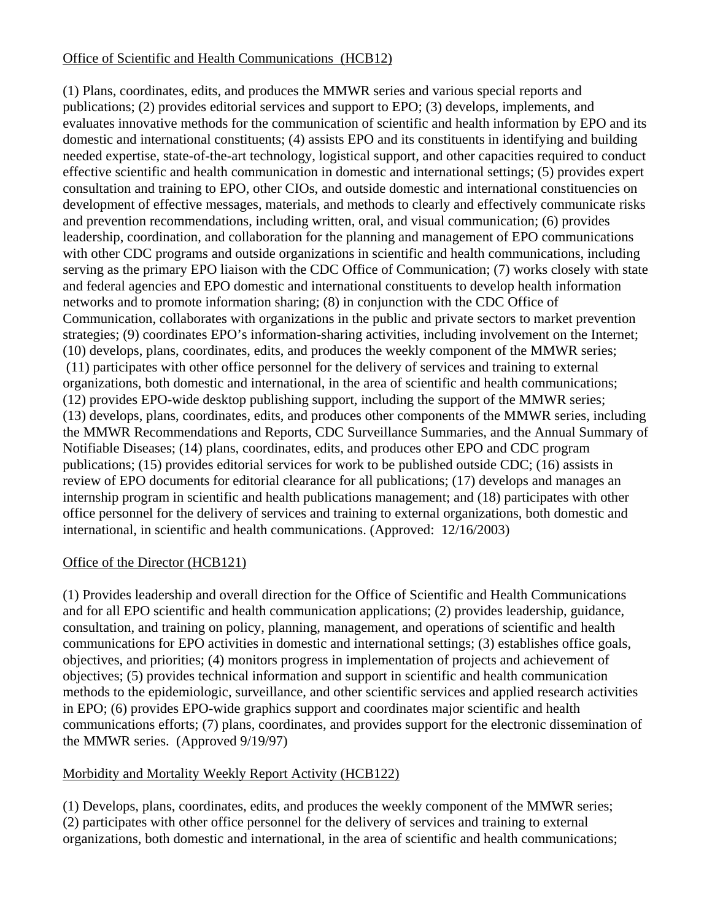# Office of Scientific and Health Communications (HCB12)

(1) Plans, coordinates, edits, and produces the MMWR series and various special reports and publications; (2) provides editorial services and support to EPO; (3) develops, implements, and evaluates innovative methods for the communication of scientific and health information by EPO and its domestic and international constituents; (4) assists EPO and its constituents in identifying and building needed expertise, state-of-the-art technology, logistical support, and other capacities required to conduct effective scientific and health communication in domestic and international settings; (5) provides expert consultation and training to EPO, other CIOs, and outside domestic and international constituencies on development of effective messages, materials, and methods to clearly and effectively communicate risks and prevention recommendations, including written, oral, and visual communication; (6) provides leadership, coordination, and collaboration for the planning and management of EPO communications with other CDC programs and outside organizations in scientific and health communications, including serving as the primary EPO liaison with the CDC Office of Communication; (7) works closely with state and federal agencies and EPO domestic and international constituents to develop health information networks and to promote information sharing; (8) in conjunction with the CDC Office of Communication, collaborates with organizations in the public and private sectors to market prevention strategies; (9) coordinates EPO's information-sharing activities, including involvement on the Internet; (10) develops, plans, coordinates, edits, and produces the weekly component of the MMWR series; (11) participates with other office personnel for the delivery of services and training to external organizations, both domestic and international, in the area of scientific and health communications; (12) provides EPO-wide desktop publishing support, including the support of the MMWR series; (13) develops, plans, coordinates, edits, and produces other components of the MMWR series, including the MMWR Recommendations and Reports, CDC Surveillance Summaries, and the Annual Summary of Notifiable Diseases; (14) plans, coordinates, edits, and produces other EPO and CDC program publications; (15) provides editorial services for work to be published outside CDC; (16) assists in review of EPO documents for editorial clearance for all publications; (17) develops and manages an internship program in scientific and health publications management; and (18) participates with other office personnel for the delivery of services and training to external organizations, both domestic and international, in scientific and health communications. (Approved: 12/16/2003)

#### Office of the Director (HCB121)

(1) Provides leadership and overall direction for the Office of Scientific and Health Communications and for all EPO scientific and health communication applications; (2) provides leadership, guidance, consultation, and training on policy, planning, management, and operations of scientific and health communications for EPO activities in domestic and international settings; (3) establishes office goals, objectives, and priorities; (4) monitors progress in implementation of projects and achievement of objectives; (5) provides technical information and support in scientific and health communication methods to the epidemiologic, surveillance, and other scientific services and applied research activities in EPO; (6) provides EPO-wide graphics support and coordinates major scientific and health communications efforts; (7) plans, coordinates, and provides support for the electronic dissemination of the MMWR series. (Approved 9/19/97)

#### Morbidity and Mortality Weekly Report Activity (HCB122)

(1) Develops, plans, coordinates, edits, and produces the weekly component of the MMWR series; (2) participates with other office personnel for the delivery of services and training to external organizations, both domestic and international, in the area of scientific and health communications;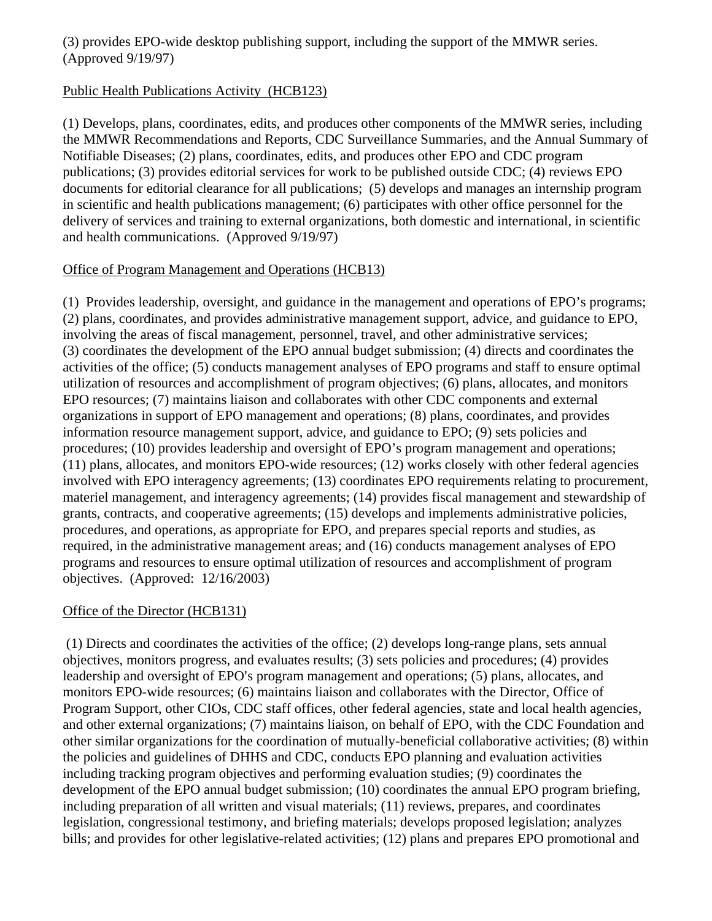#### (3) provides EPO-wide desktop publishing support, including the support of the MMWR series. (Approved 9/19/97)

#### Public Health Publications Activity (HCB123)

(1) Develops, plans, coordinates, edits, and produces other components of the MMWR series, including the MMWR Recommendations and Reports, CDC Surveillance Summaries, and the Annual Summary of Notifiable Diseases; (2) plans, coordinates, edits, and produces other EPO and CDC program publications; (3) provides editorial services for work to be published outside CDC; (4) reviews EPO documents for editorial clearance for all publications; (5) develops and manages an internship program in scientific and health publications management; (6) participates with other office personnel for the delivery of services and training to external organizations, both domestic and international, in scientific and health communications. (Approved 9/19/97)

#### Office of Program Management and Operations (HCB13)

(1) Provides leadership, oversight, and guidance in the management and operations of EPO's programs; (2) plans, coordinates, and provides administrative management support, advice, and guidance to EPO, involving the areas of fiscal management, personnel, travel, and other administrative services; (3) coordinates the development of the EPO annual budget submission; (4) directs and coordinates the activities of the office; (5) conducts management analyses of EPO programs and staff to ensure optimal utilization of resources and accomplishment of program objectives; (6) plans, allocates, and monitors EPO resources; (7) maintains liaison and collaborates with other CDC components and external organizations in support of EPO management and operations; (8) plans, coordinates, and provides information resource management support, advice, and guidance to EPO; (9) sets policies and procedures; (10) provides leadership and oversight of EPO's program management and operations; (11) plans, allocates, and monitors EPO-wide resources; (12) works closely with other federal agencies involved with EPO interagency agreements; (13) coordinates EPO requirements relating to procurement, materiel management, and interagency agreements; (14) provides fiscal management and stewardship of grants, contracts, and cooperative agreements; (15) develops and implements administrative policies, procedures, and operations, as appropriate for EPO, and prepares special reports and studies, as required, in the administrative management areas; and (16) conducts management analyses of EPO programs and resources to ensure optimal utilization of resources and accomplishment of program objectives. (Approved: 12/16/2003)

# Office of the Director (HCB131)

 (1) Directs and coordinates the activities of the office; (2) develops long-range plans, sets annual objectives, monitors progress, and evaluates results; (3) sets policies and procedures; (4) provides leadership and oversight of EPO's program management and operations; (5) plans, allocates, and monitors EPO-wide resources; (6) maintains liaison and collaborates with the Director, Office of Program Support, other CIOs, CDC staff offices, other federal agencies, state and local health agencies, and other external organizations; (7) maintains liaison, on behalf of EPO, with the CDC Foundation and other similar organizations for the coordination of mutually-beneficial collaborative activities; (8) within the policies and guidelines of DHHS and CDC, conducts EPO planning and evaluation activities including tracking program objectives and performing evaluation studies; (9) coordinates the development of the EPO annual budget submission; (10) coordinates the annual EPO program briefing, including preparation of all written and visual materials; (11) reviews, prepares, and coordinates legislation, congressional testimony, and briefing materials; develops proposed legislation; analyzes bills; and provides for other legislative-related activities; (12) plans and prepares EPO promotional and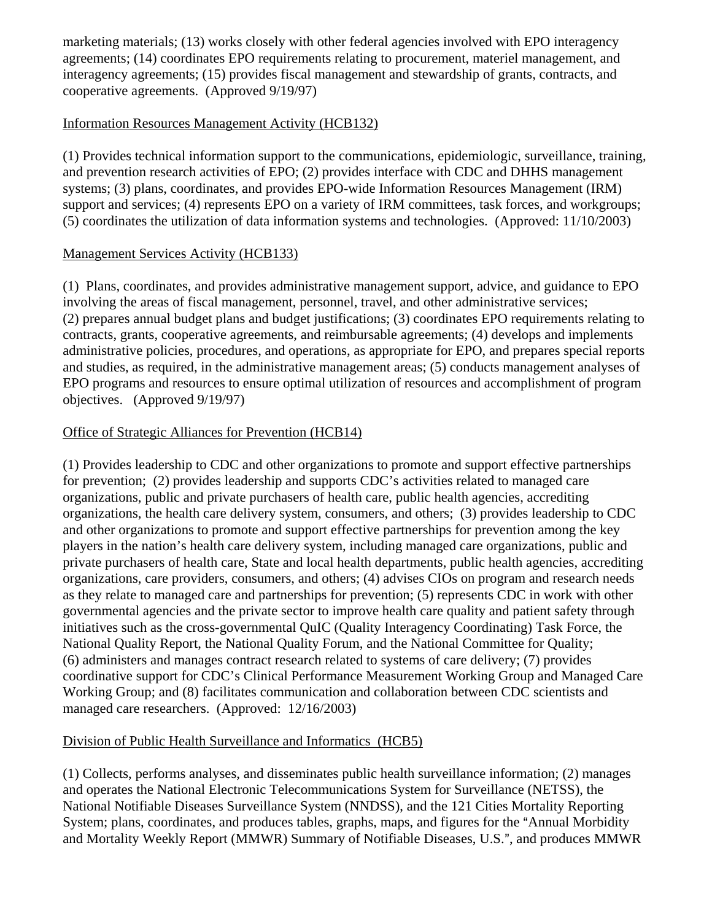marketing materials; (13) works closely with other federal agencies involved with EPO interagency agreements; (14) coordinates EPO requirements relating to procurement, materiel management, and interagency agreements; (15) provides fiscal management and stewardship of grants, contracts, and cooperative agreements. (Approved 9/19/97)

## Information Resources Management Activity (HCB132)

(1) Provides technical information support to the communications, epidemiologic, surveillance, training, and prevention research activities of EPO; (2) provides interface with CDC and DHHS management systems; (3) plans, coordinates, and provides EPO-wide Information Resources Management (IRM) support and services; (4) represents EPO on a variety of IRM committees, task forces, and workgroups; (5) coordinates the utilization of data information systems and technologies. (Approved: 11/10/2003)

#### Management Services Activity (HCB133)

(1) Plans, coordinates, and provides administrative management support, advice, and guidance to EPO involving the areas of fiscal management, personnel, travel, and other administrative services; (2) prepares annual budget plans and budget justifications; (3) coordinates EPO requirements relating to contracts, grants, cooperative agreements, and reimbursable agreements; (4) develops and implements administrative policies, procedures, and operations, as appropriate for EPO, and prepares special reports and studies, as required, in the administrative management areas; (5) conducts management analyses of EPO programs and resources to ensure optimal utilization of resources and accomplishment of program objectives. (Approved 9/19/97)

# Office of Strategic Alliances for Prevention (HCB14)

(1) Provides leadership to CDC and other organizations to promote and support effective partnerships for prevention; (2) provides leadership and supports CDC's activities related to managed care organizations, public and private purchasers of health care, public health agencies, accrediting organizations, the health care delivery system, consumers, and others; (3) provides leadership to CDC and other organizations to promote and support effective partnerships for prevention among the key players in the nation's health care delivery system, including managed care organizations, public and private purchasers of health care, State and local health departments, public health agencies, accrediting organizations, care providers, consumers, and others; (4) advises CIOs on program and research needs as they relate to managed care and partnerships for prevention; (5) represents CDC in work with other governmental agencies and the private sector to improve health care quality and patient safety through initiatives such as the cross-governmental QuIC (Quality Interagency Coordinating) Task Force, the National Quality Report, the National Quality Forum, and the National Committee for Quality; (6) administers and manages contract research related to systems of care delivery; (7) provides coordinative support for CDC's Clinical Performance Measurement Working Group and Managed Care Working Group; and (8) facilitates communication and collaboration between CDC scientists and managed care researchers. (Approved: 12/16/2003)

# Division of Public Health Surveillance and Informatics (HCB5)

(1) Collects, performs analyses, and disseminates public health surveillance information; (2) manages and operates the National Electronic Telecommunications System for Surveillance (NETSS), the National Notifiable Diseases Surveillance System (NNDSS), and the 121 Cities Mortality Reporting System; plans, coordinates, and produces tables, graphs, maps, and figures for the "Annual Morbidity" and Mortality Weekly Report (MMWR) Summary of Notifiable Diseases, U.S.", and produces MMWR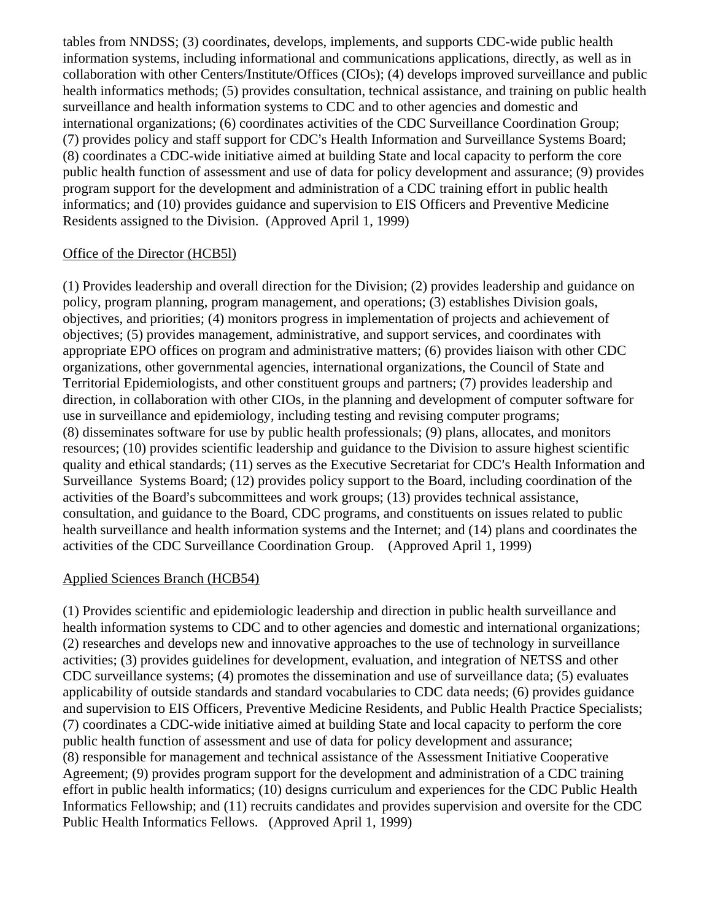tables from NNDSS; (3) coordinates, develops, implements, and supports CDC-wide public health information systems, including informational and communications applications, directly, as well as in collaboration with other Centers/Institute/Offices (CIOs); (4) develops improved surveillance and public health informatics methods; (5) provides consultation, technical assistance, and training on public health surveillance and health information systems to CDC and to other agencies and domestic and international organizations; (6) coordinates activities of the CDC Surveillance Coordination Group; (7) provides policy and staff support for CDC's Health Information and Surveillance Systems Board; (8) coordinates a CDC-wide initiative aimed at building State and local capacity to perform the core public health function of assessment and use of data for policy development and assurance; (9) provides program support for the development and administration of a CDC training effort in public health informatics; and (10) provides guidance and supervision to EIS Officers and Preventive Medicine Residents assigned to the Division. (Approved April 1, 1999)

#### Office of the Director (HCB5l)

(1) Provides leadership and overall direction for the Division; (2) provides leadership and guidance on policy, program planning, program management, and operations; (3) establishes Division goals, objectives, and priorities; (4) monitors progress in implementation of projects and achievement of objectives; (5) provides management, administrative, and support services, and coordinates with appropriate EPO offices on program and administrative matters; (6) provides liaison with other CDC organizations, other governmental agencies, international organizations, the Council of State and Territorial Epidemiologists, and other constituent groups and partners; (7) provides leadership and direction, in collaboration with other CIOs, in the planning and development of computer software for use in surveillance and epidemiology, including testing and revising computer programs; (8) disseminates software for use by public health professionals; (9) plans, allocates, and monitors resources; (10) provides scientific leadership and guidance to the Division to assure highest scientific quality and ethical standards; (11) serves as the Executive Secretariat for CDC's Health Information and Surveillance Systems Board; (12) provides policy support to the Board, including coordination of the activities of the Board's subcommittees and work groups; (13) provides technical assistance, consultation, and guidance to the Board, CDC programs, and constituents on issues related to public health surveillance and health information systems and the Internet; and (14) plans and coordinates the activities of the CDC Surveillance Coordination Group. (Approved April 1, 1999)

#### Applied Sciences Branch (HCB54)

(1) Provides scientific and epidemiologic leadership and direction in public health surveillance and health information systems to CDC and to other agencies and domestic and international organizations; (2) researches and develops new and innovative approaches to the use of technology in surveillance activities; (3) provides guidelines for development, evaluation, and integration of NETSS and other CDC surveillance systems; (4) promotes the dissemination and use of surveillance data; (5) evaluates applicability of outside standards and standard vocabularies to CDC data needs; (6) provides guidance and supervision to EIS Officers, Preventive Medicine Residents, and Public Health Practice Specialists; (7) coordinates a CDC-wide initiative aimed at building State and local capacity to perform the core public health function of assessment and use of data for policy development and assurance; (8) responsible for management and technical assistance of the Assessment Initiative Cooperative Agreement; (9) provides program support for the development and administration of a CDC training effort in public health informatics; (10) designs curriculum and experiences for the CDC Public Health Informatics Fellowship; and (11) recruits candidates and provides supervision and oversite for the CDC Public Health Informatics Fellows. (Approved April 1, 1999)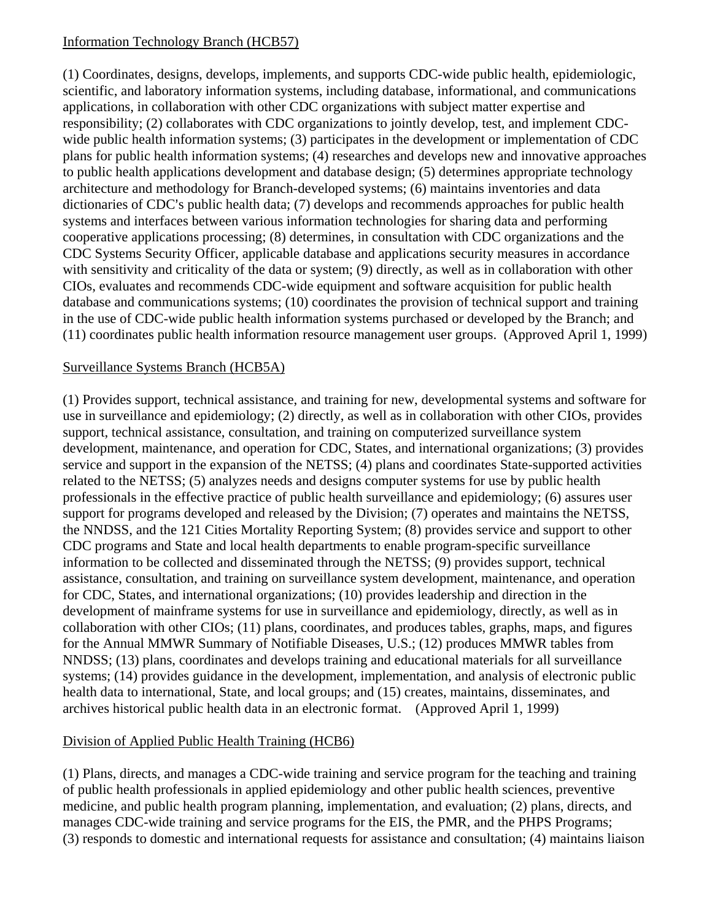#### Information Technology Branch (HCB57)

(1) Coordinates, designs, develops, implements, and supports CDC-wide public health, epidemiologic, scientific, and laboratory information systems, including database, informational, and communications applications, in collaboration with other CDC organizations with subject matter expertise and responsibility; (2) collaborates with CDC organizations to jointly develop, test, and implement CDCwide public health information systems; (3) participates in the development or implementation of CDC plans for public health information systems; (4) researches and develops new and innovative approaches to public health applications development and database design; (5) determines appropriate technology architecture and methodology for Branch-developed systems; (6) maintains inventories and data dictionaries of CDC's public health data; (7) develops and recommends approaches for public health systems and interfaces between various information technologies for sharing data and performing cooperative applications processing; (8) determines, in consultation with CDC organizations and the CDC Systems Security Officer, applicable database and applications security measures in accordance with sensitivity and criticality of the data or system; (9) directly, as well as in collaboration with other CIOs, evaluates and recommends CDC-wide equipment and software acquisition for public health database and communications systems; (10) coordinates the provision of technical support and training in the use of CDC-wide public health information systems purchased or developed by the Branch; and (11) coordinates public health information resource management user groups. (Approved April 1, 1999)

#### Surveillance Systems Branch (HCB5A)

(1) Provides support, technical assistance, and training for new, developmental systems and software for use in surveillance and epidemiology; (2) directly, as well as in collaboration with other CIOs, provides support, technical assistance, consultation, and training on computerized surveillance system development, maintenance, and operation for CDC, States, and international organizations; (3) provides service and support in the expansion of the NETSS; (4) plans and coordinates State-supported activities related to the NETSS; (5) analyzes needs and designs computer systems for use by public health professionals in the effective practice of public health surveillance and epidemiology; (6) assures user support for programs developed and released by the Division; (7) operates and maintains the NETSS, the NNDSS, and the 121 Cities Mortality Reporting System; (8) provides service and support to other CDC programs and State and local health departments to enable program-specific surveillance information to be collected and disseminated through the NETSS; (9) provides support, technical assistance, consultation, and training on surveillance system development, maintenance, and operation for CDC, States, and international organizations; (10) provides leadership and direction in the development of mainframe systems for use in surveillance and epidemiology, directly, as well as in collaboration with other CIOs; (11) plans, coordinates, and produces tables, graphs, maps, and figures for the Annual MMWR Summary of Notifiable Diseases, U.S.; (12) produces MMWR tables from NNDSS; (13) plans, coordinates and develops training and educational materials for all surveillance systems; (14) provides guidance in the development, implementation, and analysis of electronic public health data to international, State, and local groups; and (15) creates, maintains, disseminates, and archives historical public health data in an electronic format. (Approved April 1, 1999)

# Division of Applied Public Health Training (HCB6)

(1) Plans, directs, and manages a CDC-wide training and service program for the teaching and training of public health professionals in applied epidemiology and other public health sciences, preventive medicine, and public health program planning, implementation, and evaluation; (2) plans, directs, and manages CDC-wide training and service programs for the EIS, the PMR, and the PHPS Programs; (3) responds to domestic and international requests for assistance and consultation; (4) maintains liaison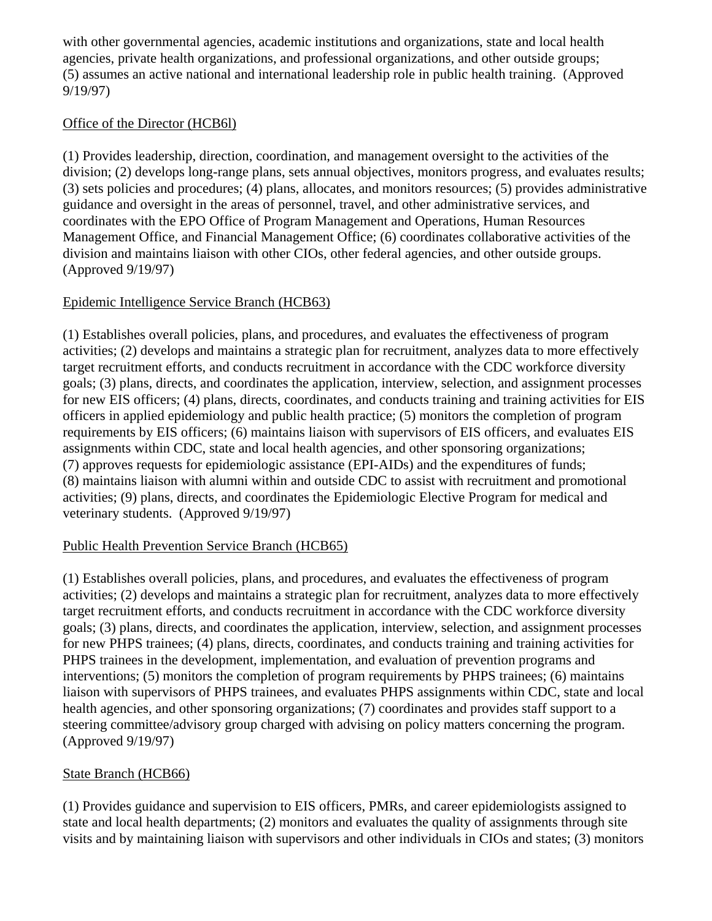with other governmental agencies, academic institutions and organizations, state and local health agencies, private health organizations, and professional organizations, and other outside groups; (5) assumes an active national and international leadership role in public health training. (Approved 9/19/97)

## Office of the Director (HCB6l)

(1) Provides leadership, direction, coordination, and management oversight to the activities of the division; (2) develops long-range plans, sets annual objectives, monitors progress, and evaluates results; (3) sets policies and procedures; (4) plans, allocates, and monitors resources; (5) provides administrative guidance and oversight in the areas of personnel, travel, and other administrative services, and coordinates with the EPO Office of Program Management and Operations, Human Resources Management Office, and Financial Management Office; (6) coordinates collaborative activities of the division and maintains liaison with other CIOs, other federal agencies, and other outside groups. (Approved 9/19/97)

# Epidemic Intelligence Service Branch (HCB63)

(1) Establishes overall policies, plans, and procedures, and evaluates the effectiveness of program activities; (2) develops and maintains a strategic plan for recruitment, analyzes data to more effectively target recruitment efforts, and conducts recruitment in accordance with the CDC workforce diversity goals; (3) plans, directs, and coordinates the application, interview, selection, and assignment processes for new EIS officers; (4) plans, directs, coordinates, and conducts training and training activities for EIS officers in applied epidemiology and public health practice; (5) monitors the completion of program requirements by EIS officers; (6) maintains liaison with supervisors of EIS officers, and evaluates EIS assignments within CDC, state and local health agencies, and other sponsoring organizations; (7) approves requests for epidemiologic assistance (EPI-AIDs) and the expenditures of funds; (8) maintains liaison with alumni within and outside CDC to assist with recruitment and promotional activities; (9) plans, directs, and coordinates the Epidemiologic Elective Program for medical and veterinary students. (Approved 9/19/97)

#### Public Health Prevention Service Branch (HCB65)

(1) Establishes overall policies, plans, and procedures, and evaluates the effectiveness of program activities; (2) develops and maintains a strategic plan for recruitment, analyzes data to more effectively target recruitment efforts, and conducts recruitment in accordance with the CDC workforce diversity goals; (3) plans, directs, and coordinates the application, interview, selection, and assignment processes for new PHPS trainees; (4) plans, directs, coordinates, and conducts training and training activities for PHPS trainees in the development, implementation, and evaluation of prevention programs and interventions; (5) monitors the completion of program requirements by PHPS trainees; (6) maintains liaison with supervisors of PHPS trainees, and evaluates PHPS assignments within CDC, state and local health agencies, and other sponsoring organizations; (7) coordinates and provides staff support to a steering committee/advisory group charged with advising on policy matters concerning the program. (Approved 9/19/97)

#### State Branch (HCB66)

(1) Provides guidance and supervision to EIS officers, PMRs, and career epidemiologists assigned to state and local health departments; (2) monitors and evaluates the quality of assignments through site visits and by maintaining liaison with supervisors and other individuals in CIOs and states; (3) monitors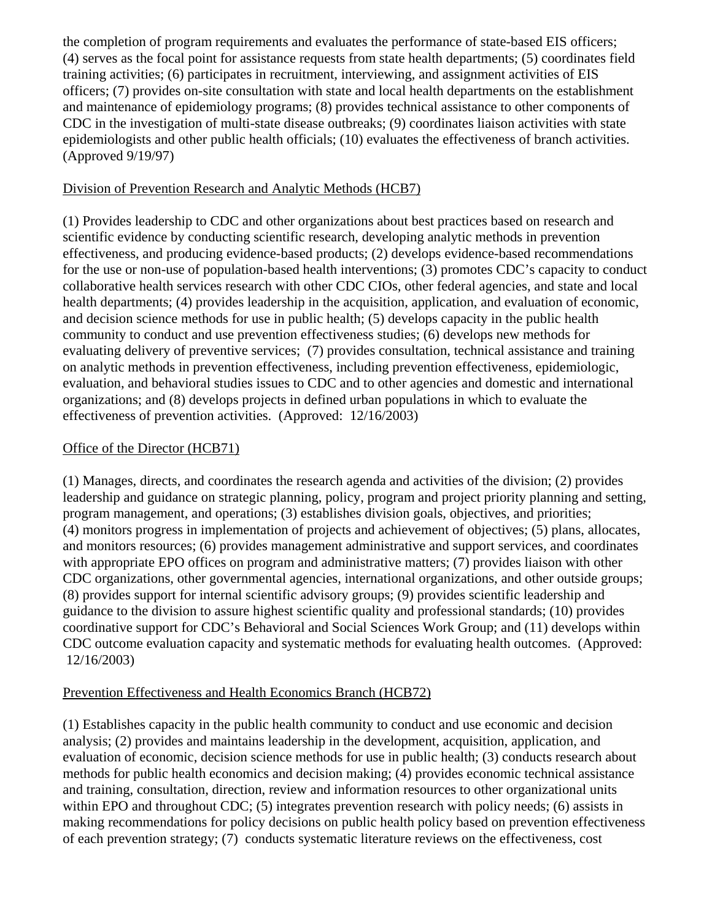the completion of program requirements and evaluates the performance of state-based EIS officers; (4) serves as the focal point for assistance requests from state health departments; (5) coordinates field training activities; (6) participates in recruitment, interviewing, and assignment activities of EIS officers; (7) provides on-site consultation with state and local health departments on the establishment and maintenance of epidemiology programs; (8) provides technical assistance to other components of CDC in the investigation of multi-state disease outbreaks; (9) coordinates liaison activities with state epidemiologists and other public health officials; (10) evaluates the effectiveness of branch activities. (Approved 9/19/97)

#### Division of Prevention Research and Analytic Methods (HCB7)

(1) Provides leadership to CDC and other organizations about best practices based on research and scientific evidence by conducting scientific research, developing analytic methods in prevention effectiveness, and producing evidence-based products; (2) develops evidence-based recommendations for the use or non-use of population-based health interventions; (3) promotes CDC's capacity to conduct collaborative health services research with other CDC CIOs, other federal agencies, and state and local health departments; (4) provides leadership in the acquisition, application, and evaluation of economic, and decision science methods for use in public health; (5) develops capacity in the public health community to conduct and use prevention effectiveness studies; (6) develops new methods for evaluating delivery of preventive services; (7) provides consultation, technical assistance and training on analytic methods in prevention effectiveness, including prevention effectiveness, epidemiologic, evaluation, and behavioral studies issues to CDC and to other agencies and domestic and international organizations; and (8) develops projects in defined urban populations in which to evaluate the effectiveness of prevention activities. (Approved: 12/16/2003)

#### Office of the Director (HCB71)

(1) Manages, directs, and coordinates the research agenda and activities of the division; (2) provides leadership and guidance on strategic planning, policy, program and project priority planning and setting, program management, and operations; (3) establishes division goals, objectives, and priorities; (4) monitors progress in implementation of projects and achievement of objectives; (5) plans, allocates, and monitors resources; (6) provides management administrative and support services, and coordinates with appropriate EPO offices on program and administrative matters; (7) provides liaison with other CDC organizations, other governmental agencies, international organizations, and other outside groups; (8) provides support for internal scientific advisory groups; (9) provides scientific leadership and guidance to the division to assure highest scientific quality and professional standards; (10) provides coordinative support for CDC's Behavioral and Social Sciences Work Group; and (11) develops within CDC outcome evaluation capacity and systematic methods for evaluating health outcomes. (Approved: 12/16/2003)

#### Prevention Effectiveness and Health Economics Branch (HCB72)

(1) Establishes capacity in the public health community to conduct and use economic and decision analysis; (2) provides and maintains leadership in the development, acquisition, application, and evaluation of economic, decision science methods for use in public health; (3) conducts research about methods for public health economics and decision making; (4) provides economic technical assistance and training, consultation, direction, review and information resources to other organizational units within EPO and throughout CDC; (5) integrates prevention research with policy needs; (6) assists in making recommendations for policy decisions on public health policy based on prevention effectiveness of each prevention strategy; (7) conducts systematic literature reviews on the effectiveness, cost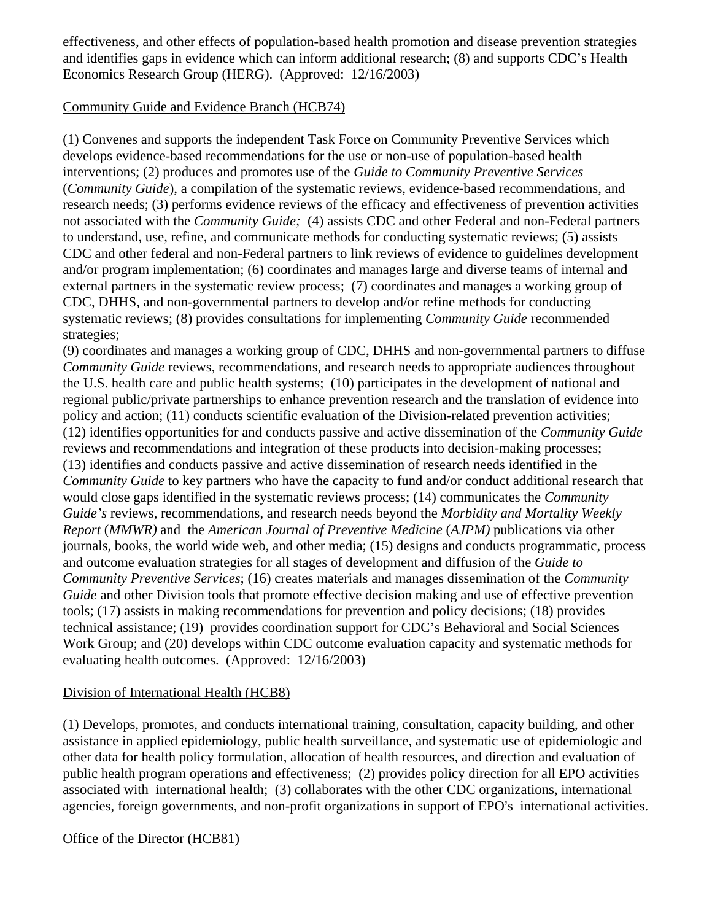effectiveness, and other effects of population-based health promotion and disease prevention strategies and identifies gaps in evidence which can inform additional research; (8) and supports CDC's Health Economics Research Group (HERG). (Approved: 12/16/2003)

#### Community Guide and Evidence Branch (HCB74)

(1) Convenes and supports the independent Task Force on Community Preventive Services which develops evidence-based recommendations for the use or non-use of population-based health interventions; (2) produces and promotes use of the *Guide to Community Preventive Services* (*Community Guide*), a compilation of the systematic reviews, evidence-based recommendations, and research needs; (3) performs evidence reviews of the efficacy and effectiveness of prevention activities not associated with the *Community Guide;* (4) assists CDC and other Federal and non-Federal partners to understand, use, refine, and communicate methods for conducting systematic reviews; (5) assists CDC and other federal and non-Federal partners to link reviews of evidence to guidelines development and/or program implementation; (6) coordinates and manages large and diverse teams of internal and external partners in the systematic review process; (7) coordinates and manages a working group of CDC, DHHS, and non-governmental partners to develop and/or refine methods for conducting systematic reviews; (8) provides consultations for implementing *Community Guide* recommended strategies;

(9) coordinates and manages a working group of CDC, DHHS and non-governmental partners to diffuse *Community Guide* reviews, recommendations, and research needs to appropriate audiences throughout the U.S. health care and public health systems; (10) participates in the development of national and regional public/private partnerships to enhance prevention research and the translation of evidence into policy and action; (11) conducts scientific evaluation of the Division-related prevention activities; (12) identifies opportunities for and conducts passive and active dissemination of the *Community Guide* reviews and recommendations and integration of these products into decision-making processes; (13) identifies and conducts passive and active dissemination of research needs identified in the *Community Guide* to key partners who have the capacity to fund and/or conduct additional research that would close gaps identified in the systematic reviews process; (14) communicates the *Community Guide's* reviews, recommendations, and research needs beyond the *Morbidity and Mortality Weekly Report* (*MMWR)* and the *American Journal of Preventive Medicine* (*AJPM)* publications via other journals, books, the world wide web, and other media; (15) designs and conducts programmatic, process and outcome evaluation strategies for all stages of development and diffusion of the *Guide to Community Preventive Services*; (16) creates materials and manages dissemination of the *Community Guide* and other Division tools that promote effective decision making and use of effective prevention tools; (17) assists in making recommendations for prevention and policy decisions; (18) provides technical assistance; (19) provides coordination support for CDC's Behavioral and Social Sciences Work Group; and (20) develops within CDC outcome evaluation capacity and systematic methods for evaluating health outcomes. (Approved: 12/16/2003)

#### Division of International Health (HCB8)

(1) Develops, promotes, and conducts international training, consultation, capacity building, and other assistance in applied epidemiology, public health surveillance, and systematic use of epidemiologic and other data for health policy formulation, allocation of health resources, and direction and evaluation of public health program operations and effectiveness; (2) provides policy direction for all EPO activities associated with international health; (3) collaborates with the other CDC organizations, international agencies, foreign governments, and non-profit organizations in support of EPO's international activities.

#### Office of the Director (HCB81)